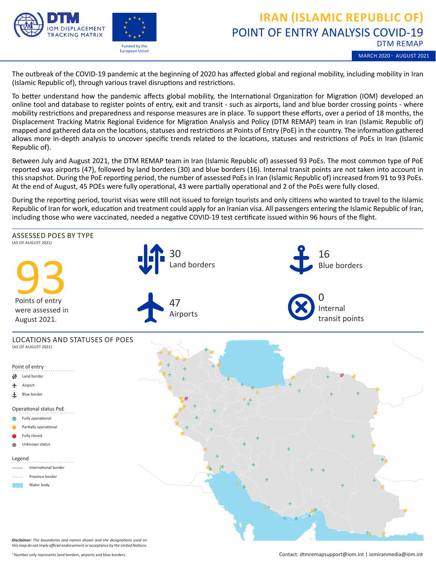

European Union

## POINT OF ENTRY ANALYSIS COVID-19 DTM REMAP **IRAN (ISLAMIC REPUBLIC OF)**

MARCH 2020 - AUGUST 2021

The outbreak of the COVID-19 pandemic at the beginning of 2020 has affected global and regional mobility, including mobility in Iran (Islamic Republic of), through various travel disruptions and restrictions.

To better understand how the pandemic affects global mobility, the International Organization for Migration (IOM) developed an online tool and database to register points of entry, exit and transit - such as airports, land and blue border crossing points - where mobility restrictions and preparedness and response measures are in place. To support these efforts, over a period of 18 months, the Displacement Tracking Matrix Regional Evidence for Migration Analysis and Policy (DTM REMAP) team in Iran (Islamic Republic of) mapped and gathered data on the locations, statuses and restrictions at Points of Entry (PoE) in the country. The information gathered allows more in-depth analysis to uncover specific trends related to the locations, statuses and restrictions of PoEs in Iran (Islamic Republic of).

Between July and August 2021, the DTM REMAP team in Iran (Islamic Republic of) assessed 93 PoEs. The most common type of PoE reported was airports (47), followed by land borders (30) and blue borders (16). Internal transit points are not taken into account in this snapshot. During the PoE reporting period, the number of assessed PoEs in Iran (Islamic Republic of) increased from 91 to 93 PoEs. At the end of August, 45 POEs were fully operational, 43 were partially operational and 2 of the PoEs were fully closed.

During the reporting period, tourist visas were still not issued to foreign tourists and only citizens who wanted to travel to the Islamic Republic of Iran for work, education and treatment could apply for an Iranian visa. All passengers entering the Islamic Republic of Iran, including those who were vaccinated, needed a negative COVID-19 test certificate issued within 96 hours of the flight.



*Disclaimer: The boundaries and names shown and the designations used on this map do not imply official endorsement or acceptance by the United Nations.*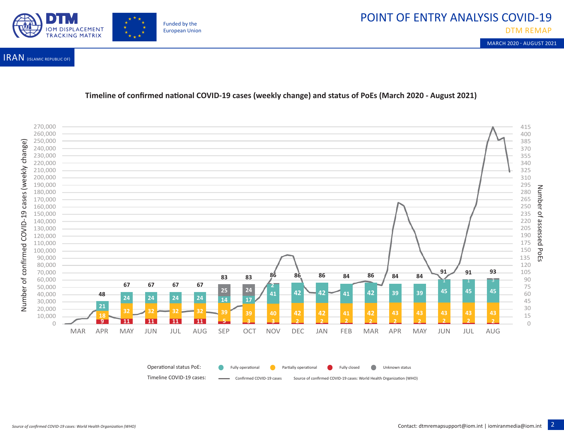## POINT OF ENTRY ANALYSIS COVID-19



MARCH 2020 - AUGUST 2021



IRAN (ISLAMIC REPUBLIC OF)

## **Timeline of confirmed national COVID-19 cases (weekly change) and status of PoEs (March 2020 - August 2021)**